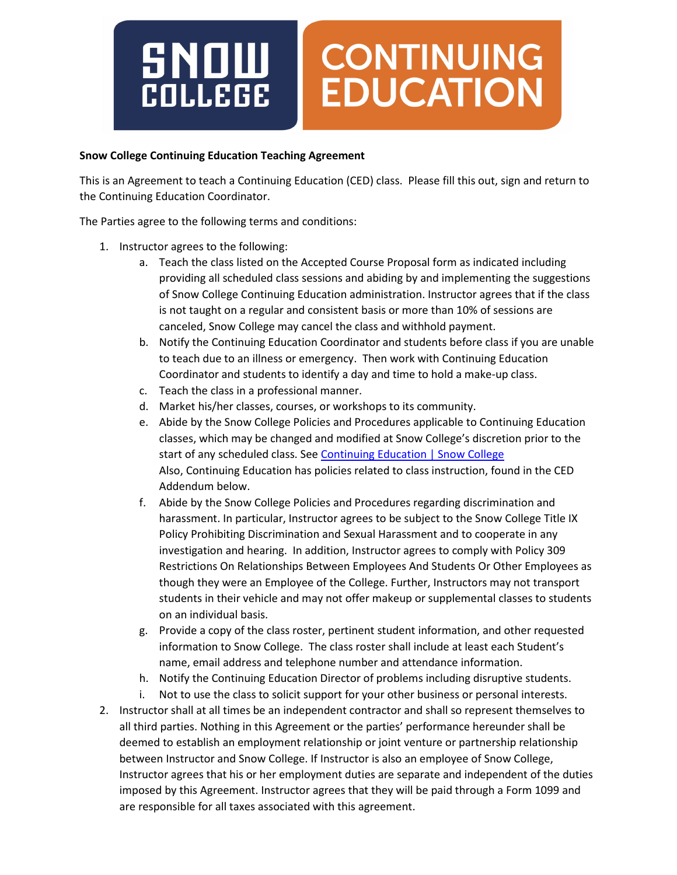

## **Snow College Continuing Education Teaching Agreement**

This is an Agreement to teach a Continuing Education (CED) class. Please fill this out, sign and return to the Continuing Education Coordinator.

The Parties agree to the following terms and conditions:

- 1. Instructor agrees to the following:
	- a. Teach the class listed on the Accepted Course Proposal form as indicated including providing all scheduled class sessions and abiding by and implementing the suggestions of Snow College Continuing Education administration. Instructor agrees that if the class is not taught on a regular and consistent basis or more than 10% of sessions are canceled, Snow College may cancel the class and withhold payment.
	- b. Notify the Continuing Education Coordinator and students before class if you are unable to teach due to an illness or emergency. Then work with Continuing Education Coordinator and students to identify a day and time to hold a make-up class.
	- c. Teach the class in a professional manner.
	- d. Market his/her classes, courses, or workshops to its community.
	- e. Abide by the Snow College Policies and Procedures applicable to Continuing Education classes, which may be changed and modified at Snow College's discretion prior to the start of any scheduled class. See Continuing [Education | Snow College](https://www.snow.edu/community/continuinged/) Also, Continuing Education has policies related to class instruction, found in the CED Addendum below.
	- f. Abide by the Snow College Policies and Procedures regarding discrimination and harassment. In particular, Instructor agrees to be subject to the Snow College Title IX Policy Prohibiting Discrimination and Sexual Harassment and to cooperate in any investigation and hearing. In addition, Instructor agrees to comply with Policy 309 Restrictions On Relationships Between Employees And Students Or Other Employees as though they were an Employee of the College. Further, Instructors may not transport students in their vehicle and may not offer makeup or supplemental classes to students on an individual basis.
	- g. Provide a copy of the class roster, pertinent student information, and other requested information to Snow College. The class roster shall include at least each Student's name, email address and telephone number and attendance information.
	- h. Notify the Continuing Education Director of problems including disruptive students.
	- i. Not to use the class to solicit support for your other business or personal interests.
- 2. Instructor shall at all times be an independent contractor and shall so represent themselves to all third parties. Nothing in this Agreement or the parties' performance hereunder shall be deemed to establish an employment relationship or joint venture or partnership relationship between Instructor and Snow College. If Instructor is also an employee of Snow College, Instructor agrees that his or her employment duties are separate and independent of the duties imposed by this Agreement. Instructor agrees that they will be paid through a Form 1099 and are responsible for all taxes associated with this agreement.